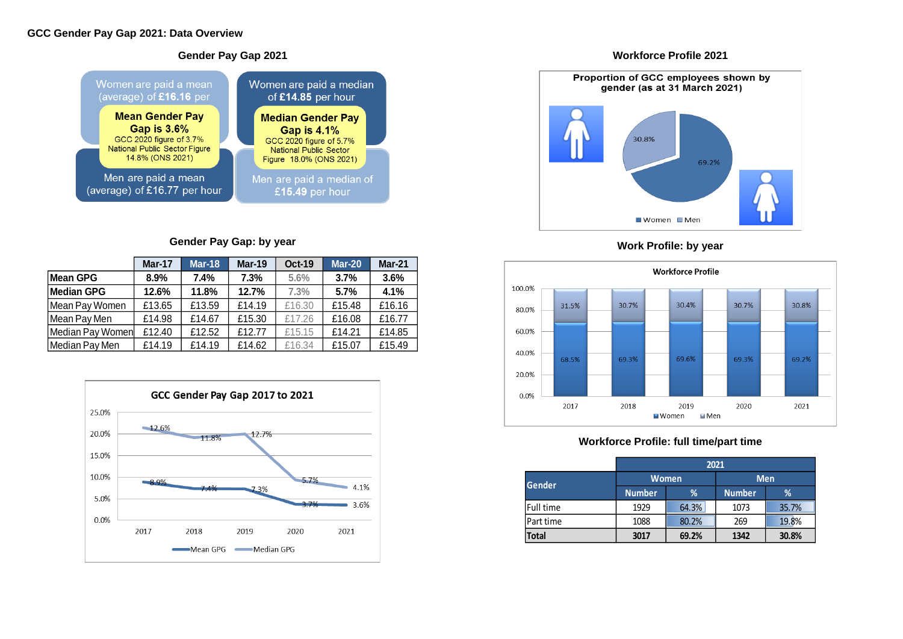#### **Gender Pay Gap 2021** Women are paid a mean Women are paid a median (average) of £16.16 per of £14.85 per hour **Mean Gender Pay Median Gender Pay Gap is 3.6% Gap is 4.1%** GCC 2020 figure of 5.7%<br>National Public Sector GCC 2020 figure of 3.7% National Public Sector Figure 14.8% (ONS 2021) Figure 18.0% (ONS 2021) Men are paid a mean Men are paid a median of (average) of £16.77 per hour £15.49 per hour

### **Gender Pay Gap: by year**

### **Workforce Profile 2021**



# **Work Profile: by year**



# **Workforce Profile: full time/part time**

|                  | <b>Mar-17</b> | <b>Mar-18</b> | <b>Mar-19</b> | <b>Oct-19</b> | <b>Mar-20</b> | <b>Mar-21</b> |
|------------------|---------------|---------------|---------------|---------------|---------------|---------------|
| Mean GPG         | 8.9%          | 7.4%          | 7.3%          | 5.6%          | 3.7%          | 3.6%          |
| Median GPG       | 12.6%         | 11.8%         | 12.7%         | 7.3%          | 5.7%          | 4.1%          |
| Mean Pay Women   | £13.65        | £13.59        | £14.19        | £16.30        | £15.48        | £16.16        |
| Mean Pay Men     | £14.98        | £14.67        | £15.30        | £17.26        | £16.08        | £16.77        |
| Median Pay Women | £12.40        | £12.52        | £12.77        | £15.15        | £14.21        | £14.85        |
| Median Pay Men   | £14.19        | £14.19        | £14.62        | £16.34        | £15.07        | £15.49        |



|               | 2021          |              |               |       |  |  |  |  |  |
|---------------|---------------|--------------|---------------|-------|--|--|--|--|--|
| <b>Gender</b> |               | <b>Women</b> | <b>Men</b>    |       |  |  |  |  |  |
|               | <b>Number</b> | %            | <b>Number</b> | %     |  |  |  |  |  |
| Full time     | 1929          | 64.3%        | 1073          | 35.7% |  |  |  |  |  |
| Part time     | 1088          | 80.2%        | 269           | 19.8% |  |  |  |  |  |
| <b>Total</b>  | 3017          | 69.2%        | 1342          | 30.8% |  |  |  |  |  |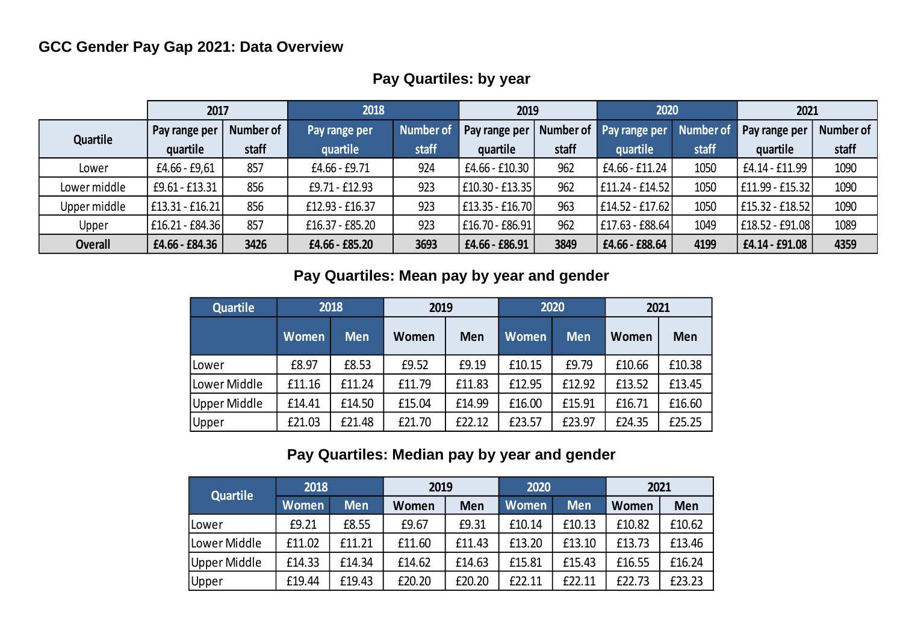# **GCC Gender Pay Gap 2021: Data Overview**

|                | 2017            |           | 2018            |                  | 2019                |       | 2020                    |           | 2021            |           |
|----------------|-----------------|-----------|-----------------|------------------|---------------------|-------|-------------------------|-----------|-----------------|-----------|
| Quartile       | Pay range per   | Number of | Pay range per   | <b>Number of</b> | Pay range per       |       | Number of Pay range per | Number of | Pay range per   | Number of |
|                | quartile        | staff     | quartile        | staff            | quartile            | staff | quartile                | staff     | quartile        | staff     |
| Lower          | £4.66 - £9,61   | 857       | £4.66 - £9.71   | 924              | £4.66 - £10.30      | 962   | £4.66 - £11.24          | 1050      | £4.14 - £11.99  | 1090      |
| Lower middle   | £9.61 - £13.31  | 856       | £9.71 - £12.93  | 923              | $ $ £10.30 - £13.35 | 962   | $E11.24 - E14.52$       | 1050      | £11.99 - £15.32 | 1090      |
| Upper middle   | £13.31 - £16.21 | 856       | £12.93 - £16.37 | 923              | £13.35 - £16.70     | 963   | $E14.52 - E17.62$       | 1050      | £15.32 - £18.52 | 1090      |
| Upper          | £16.21 - £84.36 | 857       | £16.37 - £85.20 | 923              | £16.70 - £86.91     | 962   | £17.63 - £88.64         | 1049      | E18.52 - £91.08 | 1089      |
| <b>Overall</b> | £4.66 - £84.36  | 3426      | £4.66 - £85.20  | 3693             | £4.66 - £86.91      | 3849  | £4.66 - £88.64          | 4199      | £4.14 - £91.08  | 4359      |

# **Pay Quartiles: by year**

## **Pay Quartiles: Mean pay by year and gender**

| <b>Quartile</b> | 2018         |            | 2019   |        |              | 2020       | 2021   |        |  |
|-----------------|--------------|------------|--------|--------|--------------|------------|--------|--------|--|
|                 | <b>Women</b> | <b>Men</b> | Women  | Men    | <b>Women</b> | <b>Men</b> | Women  | Men    |  |
| Lower           | £8.97        | £8.53      | £9.52  | £9.19  | £10.15       | £9.79      | £10.66 | £10.38 |  |
| Lower Middle    | £11.16       | £11.24     | £11.79 | £11.83 | £12.95       | £12.92     | £13.52 | £13.45 |  |
| Upper Middle    | £14.41       | £14.50     | £15.04 | £14.99 | £16.00       | £15.91     | £16.71 | £16.60 |  |
| Upper           | £21.03       | £21.48     | £21.70 | £22.12 | £23.57       | £23.97     | £24.35 | £25.25 |  |

# **Pay Quartiles: Median pay by year and gender**

| Quartile     | 2018         |            | 2019   |        | 2020   |            | 2021   |        |  |
|--------------|--------------|------------|--------|--------|--------|------------|--------|--------|--|
|              | <b>Women</b> | <b>Men</b> | Women  | Men    | Women  | <b>Men</b> | Women  | Men    |  |
| <b>Lower</b> | £9.21        | £8.55      | £9.67  | £9.31  | £10.14 | £10.13     | £10.82 | £10.62 |  |
| Lower Middle | £11.02       | £11.21     | £11.60 | £11.43 | £13.20 | £13.10     | £13.73 | £13.46 |  |
| Upper Middle | £14.33       | £14.34     | £14.62 | £14.63 | £15.81 | £15.43     | £16.55 | £16.24 |  |
| Upper        | £19.44       | £19.43     | £20.20 | £20.20 | £22.11 | £22.11     | £22.73 | £23.23 |  |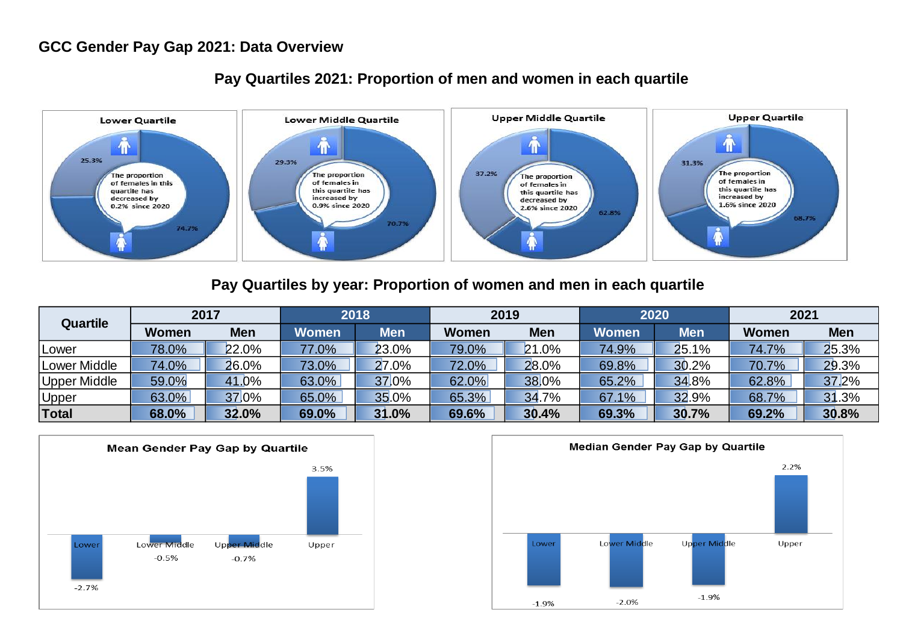#### **GCC Gender Pay Gap 2021: Data Overview**



#### **Pay Quartiles 2021: Proportion of men and women in each quartile**

#### **Pay Quartiles by year: Proportion of women and men in each quartile**

| <b>Quartile</b>     | 2017  |            | 2018         |       | 2019         |            | 2020         |            | 2021         |            |
|---------------------|-------|------------|--------------|-------|--------------|------------|--------------|------------|--------------|------------|
|                     | Women | <b>Men</b> | <b>Women</b> | Men   | <b>Women</b> | <b>Men</b> | <b>Women</b> | <b>Men</b> | <b>Women</b> | <b>Men</b> |
| Lower               | 78.0% | 22.0%      | 77.0%        | 23.0% | 79.0%        | 21.0%      | 74.9%        | 25.1%      | 74.7%        | 25.3%      |
| <b>Lower Middle</b> | 74.0% | 26.0%      | 73.0%        | 27.0% | 72.0%        | 28.0%      | 69.8%        | 30.2%      | 70.7%        | 29.3%      |
| <b>Upper Middle</b> | 59.0% | 41.0%      | 63.0%        | 37.0% | 62.0%        | 38.0%      | 65.2%        | 34.8%      | 62.8%        | 37.2%      |
| <u>Upper</u>        | 63.0% | 37.0%      | 65.0%        | 35.0% | 65.3%        | 34.7%      | 67.1%        | 32.9%      | 68.7%        | 31.3%      |
| <b>Total</b>        | 68.0% | 32.0%      | 69.0%        | 31.0% | 69.6%        | 30.4%      | 69.3%        | 30.7%      | 69.2%        | 30.8%      |